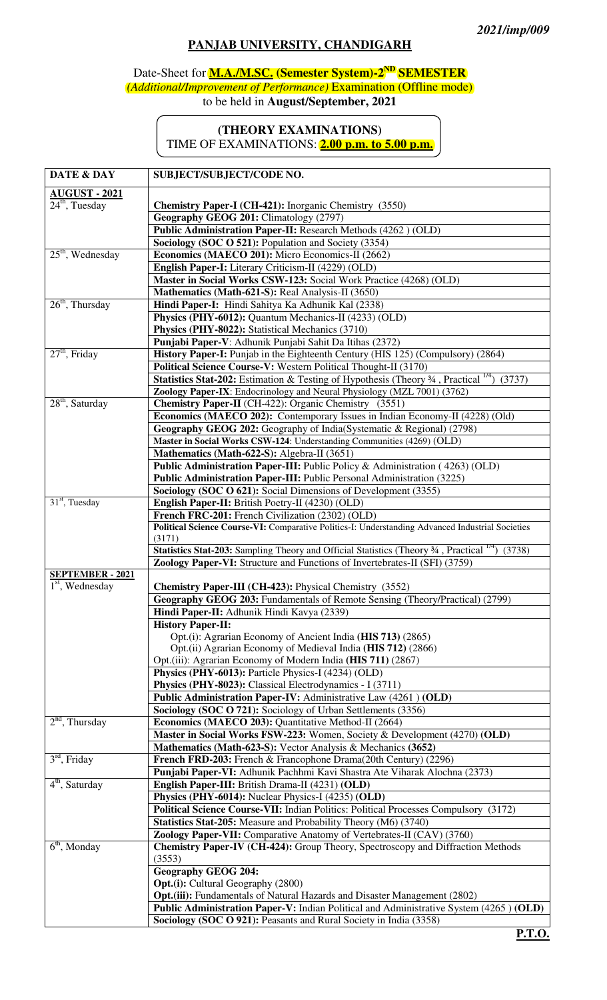## **PANJAB UNIVERSITY, CHANDIGARH**

## Date-Sheet for **M.A./M.SC. (Semester System)-2ND SEMESTER** *(Additional/Improvement of Performance)* Examination (Offline mode) to be held in **August/September, 2021**

## **(THEORY EXAMINATIONS)**  TIME OF EXAMINATIONS: **2.00 p.m. to 5.00 p.m.**

| DATE & DAY                      | SUBJECT/SUBJECT/CODE NO.                                                                                                                                       |  |  |
|---------------------------------|----------------------------------------------------------------------------------------------------------------------------------------------------------------|--|--|
|                                 |                                                                                                                                                                |  |  |
| AUGUST-2021<br>$24th$ , Tuesday | <b>Chemistry Paper-I (CH-421):</b> Inorganic Chemistry (3550)                                                                                                  |  |  |
|                                 | Geography GEOG 201: Climatology (2797)                                                                                                                         |  |  |
|                                 | Public Administration Paper-II: Research Methods (4262) (OLD)                                                                                                  |  |  |
|                                 | Sociology (SOC O 521): Population and Society (3354)                                                                                                           |  |  |
| $25th$ , Wednesday              | Economics (MAECO 201): Micro Economics-II (2662)                                                                                                               |  |  |
|                                 | English Paper-I: Literary Criticism-II (4229) (OLD)                                                                                                            |  |  |
|                                 | Master in Social Works CSW-123: Social Work Practice (4268) (OLD)                                                                                              |  |  |
|                                 | Mathematics (Math-621-S): Real Analysis-II (3650)                                                                                                              |  |  |
| $26th$ , Thursday               | Hindi Paper-I: Hindi Sahitya Ka Adhunik Kal (2338)                                                                                                             |  |  |
|                                 | Physics (PHY-6012): Quantum Mechanics-II (4233) (OLD)                                                                                                          |  |  |
|                                 | Physics (PHY-8022): Statistical Mechanics (3710)                                                                                                               |  |  |
|                                 | Punjabi Paper-V: Adhunik Punjabi Sahit Da Itihas (2372)                                                                                                        |  |  |
| $27th$ , Friday                 | History Paper-I: Punjab in the Eighteenth Century (HIS 125) (Compulsory) (2864)                                                                                |  |  |
|                                 | Political Science Course-V: Western Political Thought-II (3170)                                                                                                |  |  |
|                                 | <b>Statistics Stat-202:</b> Estimation & Testing of Hypothesis (Theory $\frac{3}{4}$ , Practical <sup>1/4</sup> )<br>(3737)                                    |  |  |
|                                 | Zoology Paper-IX: Endocrinology and Neural Physiology (MZL 7001) (3762)                                                                                        |  |  |
| $28th$ , Saturday               | Chemistry Paper-II (CH-422): Organic Chemistry (3551)                                                                                                          |  |  |
|                                 | Economics (MAECO 202): Contemporary Issues in Indian Economy-II (4228) (Old)                                                                                   |  |  |
|                                 | Geography GEOG 202: Geography of India(Systematic & Regional) (2798)                                                                                           |  |  |
|                                 | Master in Social Works CSW-124: Understanding Communities (4269) (OLD)<br>Mathematics (Math-622-S): Algebra-II (3651)                                          |  |  |
|                                 | Public Administration Paper-III: Public Policy & Administration (4263) (OLD)                                                                                   |  |  |
|                                 | Public Administration Paper-III: Public Personal Administration (3225)                                                                                         |  |  |
|                                 | Sociology (SOC O 621): Social Dimensions of Development (3355)                                                                                                 |  |  |
| $31st$ , Tuesday                | English Paper-II: British Poetry-II (4230) (OLD)                                                                                                               |  |  |
|                                 | French FRC-201: French Civilization (2302) (OLD)                                                                                                               |  |  |
|                                 | Political Science Course-VI: Comparative Politics-I: Understanding Advanced Industrial Societies                                                               |  |  |
|                                 | (3171)                                                                                                                                                         |  |  |
|                                 | Statistics Stat-203: Sampling Theory and Official Statistics (Theory 34, Practical <sup>1/4</sup> )<br>(3738)                                                  |  |  |
|                                 | Zoology Paper-VI: Structure and Functions of Invertebrates-II (SFI) (3759)                                                                                     |  |  |
| <b>SEPTEMBER - 2021</b>         |                                                                                                                                                                |  |  |
| $1st$ , Wednesday               | Chemistry Paper-III (CH-423): Physical Chemistry (3552)                                                                                                        |  |  |
|                                 | Geography GEOG 203: Fundamentals of Remote Sensing (Theory/Practical) (2799)                                                                                   |  |  |
|                                 | Hindi Paper-II: Adhunik Hindi Kavya (2339)<br><b>History Paper-II:</b>                                                                                         |  |  |
|                                 | Opt.(i): Agrarian Economy of Ancient India (HIS 713) (2865)                                                                                                    |  |  |
|                                 | Opt.(ii) Agrarian Economy of Medieval India (HIS 712) (2866)                                                                                                   |  |  |
|                                 | Opt.(iii): Agrarian Economy of Modern India (HIS 711) (2867)                                                                                                   |  |  |
|                                 | Physics (PHY-6013): Particle Physics-I (4234) (OLD)                                                                                                            |  |  |
|                                 | Physics (PHY-8023): Classical Electrodynamics - I (3711)                                                                                                       |  |  |
|                                 | Public Administration Paper-IV: Administrative Law (4261) (OLD)                                                                                                |  |  |
|                                 | Sociology (SOC O 721): Sociology of Urban Settlements (3356)                                                                                                   |  |  |
| $2nd$ , Thursday                | Economics (MAECO 203): Quantitative Method-II (2664)                                                                                                           |  |  |
|                                 | Master in Social Works FSW-223: Women, Society & Development (4270) (OLD)                                                                                      |  |  |
|                                 | Mathematics (Math-623-S): Vector Analysis & Mechanics (3652)                                                                                                   |  |  |
| $3rd$ , Friday                  | French FRD-203: French & Francophone Drama(20th Century) (2296)                                                                                                |  |  |
| $4th$ , Saturday                | Punjabi Paper-VI: Adhunik Pachhmi Kavi Shastra Ate Viharak Alochna (2373)                                                                                      |  |  |
|                                 | English Paper-III: British Drama-II (4231) (OLD)                                                                                                               |  |  |
|                                 | Physics (PHY-6014): Nuclear Physics-I (4235) (OLD)                                                                                                             |  |  |
|                                 | Political Science Course-VII: Indian Politics: Political Processes Compulsory (3172)<br><b>Statistics Stat-205:</b> Measure and Probability Theory (M6) (3740) |  |  |
|                                 | Zoology Paper-VII: Comparative Anatomy of Vertebrates-II (CAV) (3760)                                                                                          |  |  |
| $6th$ , Monday                  | Chemistry Paper-IV (CH-424): Group Theory, Spectroscopy and Diffraction Methods                                                                                |  |  |
|                                 | (3553)                                                                                                                                                         |  |  |
|                                 | <b>Geography GEOG 204:</b>                                                                                                                                     |  |  |
|                                 | <b>Opt.(i):</b> Cultural Geography (2800)                                                                                                                      |  |  |
|                                 | <b>Opt.</b> (iii): Fundamentals of Natural Hazards and Disaster Management (2802)                                                                              |  |  |
|                                 | Public Administration Paper-V: Indian Political and Administrative System (4265) (OLD)                                                                         |  |  |
|                                 | Sociology (SOC O 921): Peasants and Rural Society in India (3358)<br><b>CONTRACTOR</b>                                                                         |  |  |